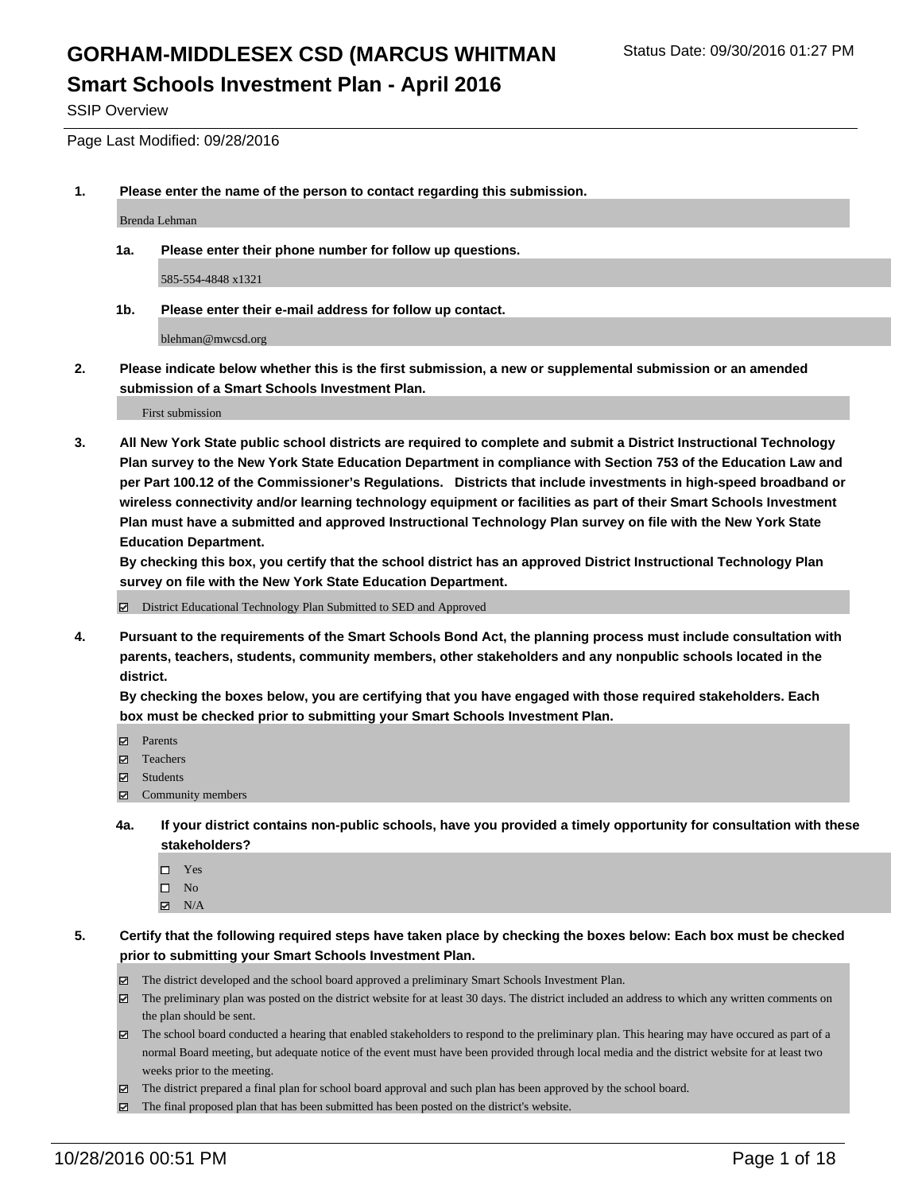SSIP Overview

Page Last Modified: 09/28/2016

**1. Please enter the name of the person to contact regarding this submission.**

Brenda Lehman

**1a. Please enter their phone number for follow up questions.**

585-554-4848 x1321

**1b. Please enter their e-mail address for follow up contact.**

blehman@mwcsd.org

**2. Please indicate below whether this is the first submission, a new or supplemental submission or an amended submission of a Smart Schools Investment Plan.**

First submission

**3. All New York State public school districts are required to complete and submit a District Instructional Technology Plan survey to the New York State Education Department in compliance with Section 753 of the Education Law and per Part 100.12 of the Commissioner's Regulations. Districts that include investments in high-speed broadband or wireless connectivity and/or learning technology equipment or facilities as part of their Smart Schools Investment Plan must have a submitted and approved Instructional Technology Plan survey on file with the New York State Education Department.** 

**By checking this box, you certify that the school district has an approved District Instructional Technology Plan survey on file with the New York State Education Department.**

District Educational Technology Plan Submitted to SED and Approved

**4. Pursuant to the requirements of the Smart Schools Bond Act, the planning process must include consultation with parents, teachers, students, community members, other stakeholders and any nonpublic schools located in the district.** 

**By checking the boxes below, you are certifying that you have engaged with those required stakeholders. Each box must be checked prior to submitting your Smart Schools Investment Plan.**

- Parents
- Teachers
- **☑** Students
- Community members
- **4a. If your district contains non-public schools, have you provided a timely opportunity for consultation with these stakeholders?**
	- $\Box$  Yes  $\square$  No
	- $\boxtimes$  N/A
- **5. Certify that the following required steps have taken place by checking the boxes below: Each box must be checked prior to submitting your Smart Schools Investment Plan.**
	- The district developed and the school board approved a preliminary Smart Schools Investment Plan.
	- $\boxtimes$  The preliminary plan was posted on the district website for at least 30 days. The district included an address to which any written comments on the plan should be sent.
	- $\boxtimes$  The school board conducted a hearing that enabled stakeholders to respond to the preliminary plan. This hearing may have occured as part of a normal Board meeting, but adequate notice of the event must have been provided through local media and the district website for at least two weeks prior to the meeting.
	- The district prepared a final plan for school board approval and such plan has been approved by the school board.
	- The final proposed plan that has been submitted has been posted on the district's website.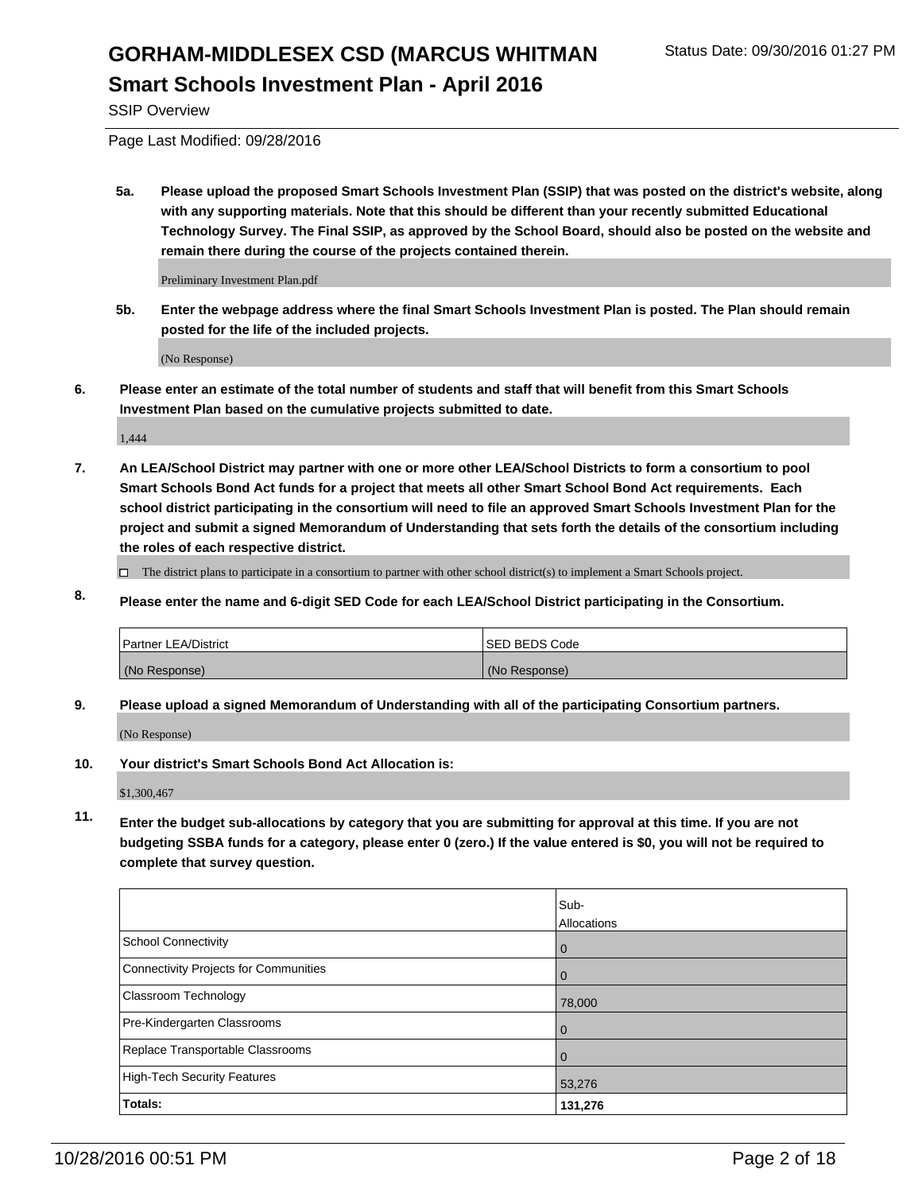SSIP Overview

Page Last Modified: 09/28/2016

**5a. Please upload the proposed Smart Schools Investment Plan (SSIP) that was posted on the district's website, along with any supporting materials. Note that this should be different than your recently submitted Educational Technology Survey. The Final SSIP, as approved by the School Board, should also be posted on the website and remain there during the course of the projects contained therein.**

Preliminary Investment Plan.pdf

**5b. Enter the webpage address where the final Smart Schools Investment Plan is posted. The Plan should remain posted for the life of the included projects.**

(No Response)

**6. Please enter an estimate of the total number of students and staff that will benefit from this Smart Schools Investment Plan based on the cumulative projects submitted to date.**

1,444

**7. An LEA/School District may partner with one or more other LEA/School Districts to form a consortium to pool Smart Schools Bond Act funds for a project that meets all other Smart School Bond Act requirements. Each school district participating in the consortium will need to file an approved Smart Schools Investment Plan for the project and submit a signed Memorandum of Understanding that sets forth the details of the consortium including the roles of each respective district.**

 $\Box$  The district plans to participate in a consortium to partner with other school district(s) to implement a Smart Schools project.

**8. Please enter the name and 6-digit SED Code for each LEA/School District participating in the Consortium.**

| <b>Partner LEA/District</b> | <b>ISED BEDS Code</b> |
|-----------------------------|-----------------------|
| (No Response)               | (No Response)         |

**9. Please upload a signed Memorandum of Understanding with all of the participating Consortium partners.**

(No Response)

**10. Your district's Smart Schools Bond Act Allocation is:**

\$1,300,467

**11. Enter the budget sub-allocations by category that you are submitting for approval at this time. If you are not budgeting SSBA funds for a category, please enter 0 (zero.) If the value entered is \$0, you will not be required to complete that survey question.**

|                                       | Sub-<br>Allocations |
|---------------------------------------|---------------------|
| <b>School Connectivity</b>            | 0                   |
| Connectivity Projects for Communities | O                   |
| Classroom Technology                  | 78,000              |
| Pre-Kindergarten Classrooms           | 0                   |
| Replace Transportable Classrooms      | 0                   |
| High-Tech Security Features           | 53,276              |
| Totals:                               | 131,276             |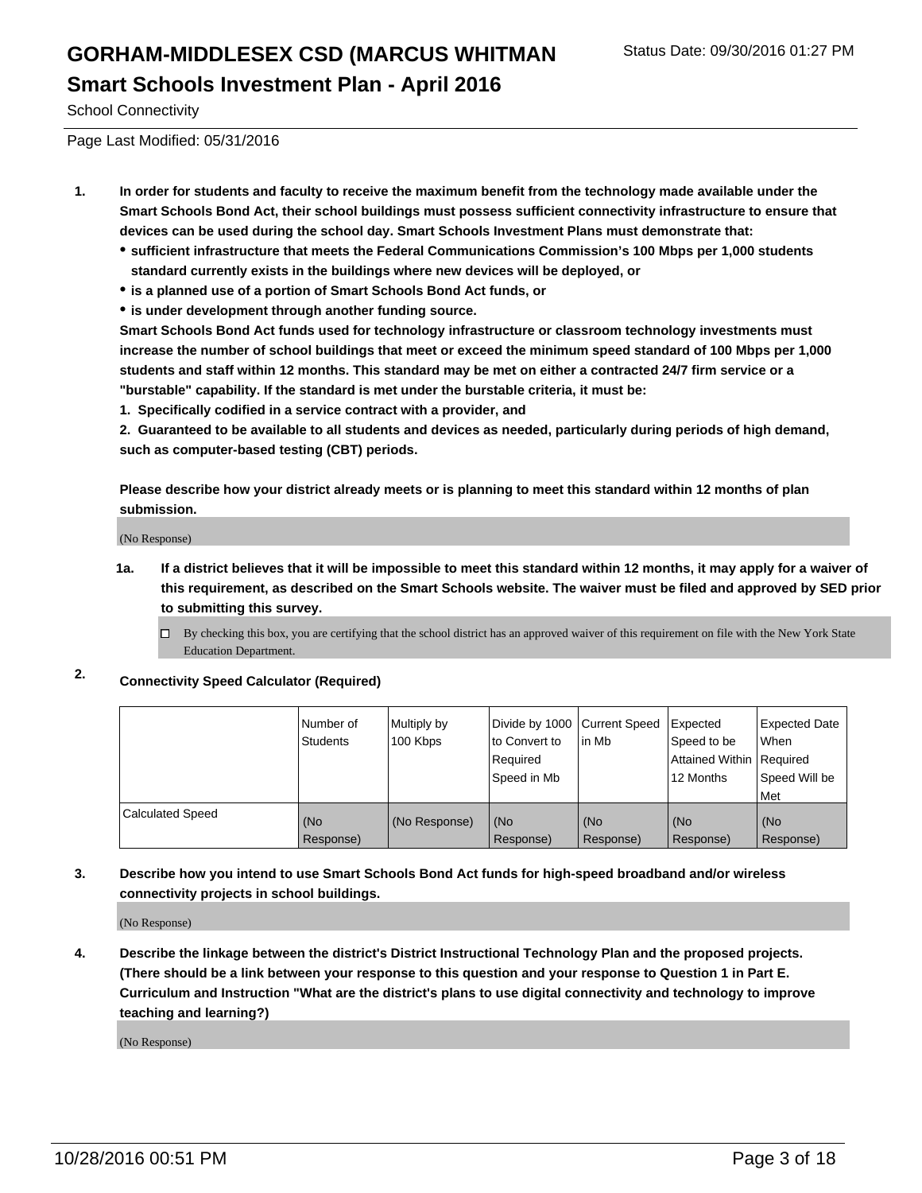School Connectivity

Page Last Modified: 05/31/2016

- **1. In order for students and faculty to receive the maximum benefit from the technology made available under the Smart Schools Bond Act, their school buildings must possess sufficient connectivity infrastructure to ensure that devices can be used during the school day. Smart Schools Investment Plans must demonstrate that:**
	- **sufficient infrastructure that meets the Federal Communications Commission's 100 Mbps per 1,000 students standard currently exists in the buildings where new devices will be deployed, or**
	- **is a planned use of a portion of Smart Schools Bond Act funds, or**
	- **is under development through another funding source.**

**Smart Schools Bond Act funds used for technology infrastructure or classroom technology investments must increase the number of school buildings that meet or exceed the minimum speed standard of 100 Mbps per 1,000 students and staff within 12 months. This standard may be met on either a contracted 24/7 firm service or a "burstable" capability. If the standard is met under the burstable criteria, it must be:**

**1. Specifically codified in a service contract with a provider, and**

**2. Guaranteed to be available to all students and devices as needed, particularly during periods of high demand, such as computer-based testing (CBT) periods.**

**Please describe how your district already meets or is planning to meet this standard within 12 months of plan submission.**

(No Response)

- **1a. If a district believes that it will be impossible to meet this standard within 12 months, it may apply for a waiver of this requirement, as described on the Smart Schools website. The waiver must be filed and approved by SED prior to submitting this survey.**
	- $\Box$  By checking this box, you are certifying that the school district has an approved waiver of this requirement on file with the New York State Education Department.
- **2. Connectivity Speed Calculator (Required)**

|                         | Number of<br><b>Students</b> | Multiply by<br>100 Kbps | Divide by 1000 Current Speed<br>to Convert to<br>Required<br>Speed in Mb | lin Mb           | Expected<br>Speed to be<br>Attained Within Required<br>12 Months | Expected Date<br>l When<br>Speed Will be<br>l Met |
|-------------------------|------------------------------|-------------------------|--------------------------------------------------------------------------|------------------|------------------------------------------------------------------|---------------------------------------------------|
| <b>Calculated Speed</b> | (No<br>Response)             | (No Response)           | (No<br>Response)                                                         | (No<br>Response) | (No<br>Response)                                                 | (No<br>Response)                                  |

#### **3. Describe how you intend to use Smart Schools Bond Act funds for high-speed broadband and/or wireless connectivity projects in school buildings.**

(No Response)

**4. Describe the linkage between the district's District Instructional Technology Plan and the proposed projects. (There should be a link between your response to this question and your response to Question 1 in Part E. Curriculum and Instruction "What are the district's plans to use digital connectivity and technology to improve teaching and learning?)**

(No Response)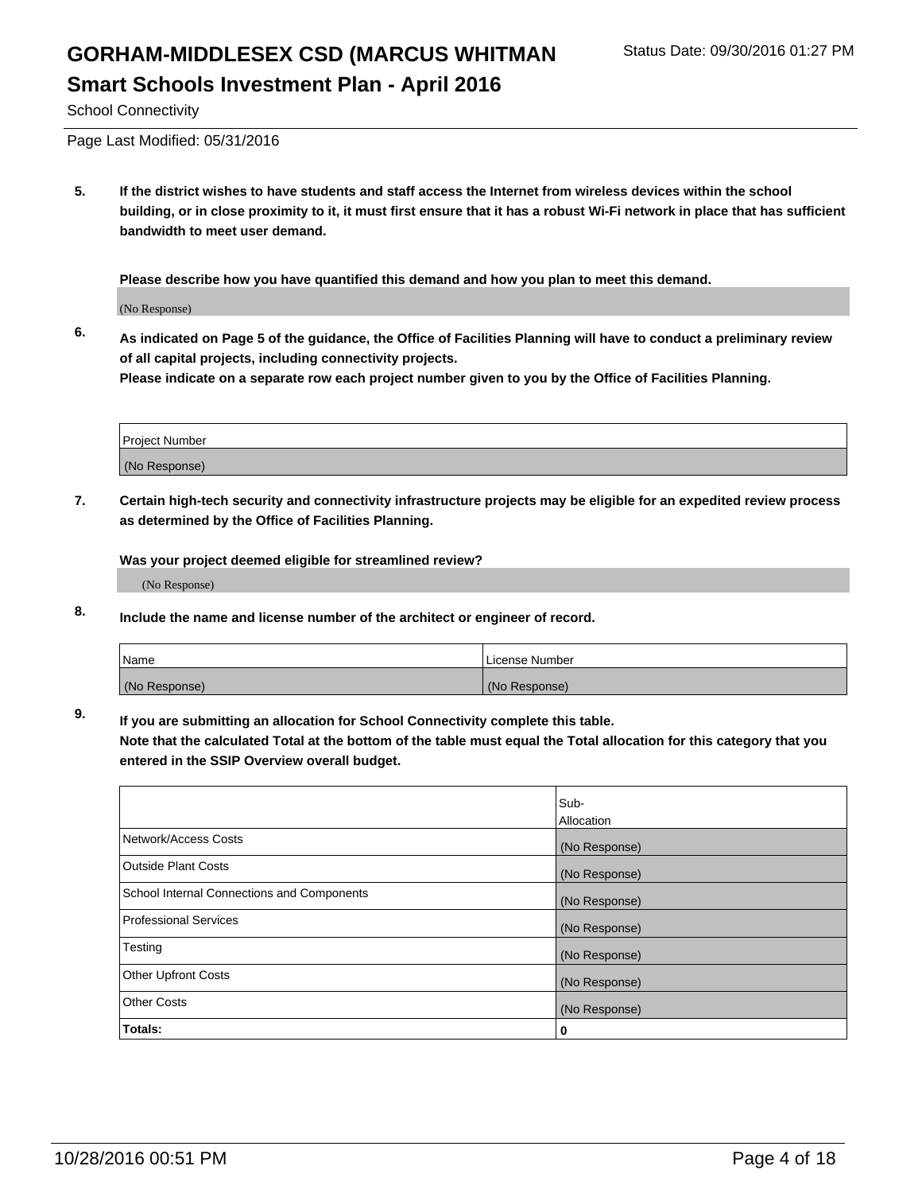School Connectivity

Page Last Modified: 05/31/2016

**5. If the district wishes to have students and staff access the Internet from wireless devices within the school building, or in close proximity to it, it must first ensure that it has a robust Wi-Fi network in place that has sufficient bandwidth to meet user demand.**

**Please describe how you have quantified this demand and how you plan to meet this demand.**

(No Response)

**6. As indicated on Page 5 of the guidance, the Office of Facilities Planning will have to conduct a preliminary review of all capital projects, including connectivity projects.**

**Please indicate on a separate row each project number given to you by the Office of Facilities Planning.**

| Project Number |  |
|----------------|--|
| (No Response)  |  |

**7. Certain high-tech security and connectivity infrastructure projects may be eligible for an expedited review process as determined by the Office of Facilities Planning.**

**Was your project deemed eligible for streamlined review?**

(No Response)

**8. Include the name and license number of the architect or engineer of record.**

| <b>Name</b>   | License Number |
|---------------|----------------|
| (No Response) | (No Response)  |

**9. If you are submitting an allocation for School Connectivity complete this table.**

**Note that the calculated Total at the bottom of the table must equal the Total allocation for this category that you entered in the SSIP Overview overall budget.** 

|                                            | Sub-              |
|--------------------------------------------|-------------------|
|                                            | <b>Allocation</b> |
| Network/Access Costs                       | (No Response)     |
| <b>Outside Plant Costs</b>                 | (No Response)     |
| School Internal Connections and Components | (No Response)     |
| <b>Professional Services</b>               | (No Response)     |
| Testing                                    | (No Response)     |
| <b>Other Upfront Costs</b>                 | (No Response)     |
| <b>Other Costs</b>                         | (No Response)     |
| Totals:                                    | 0                 |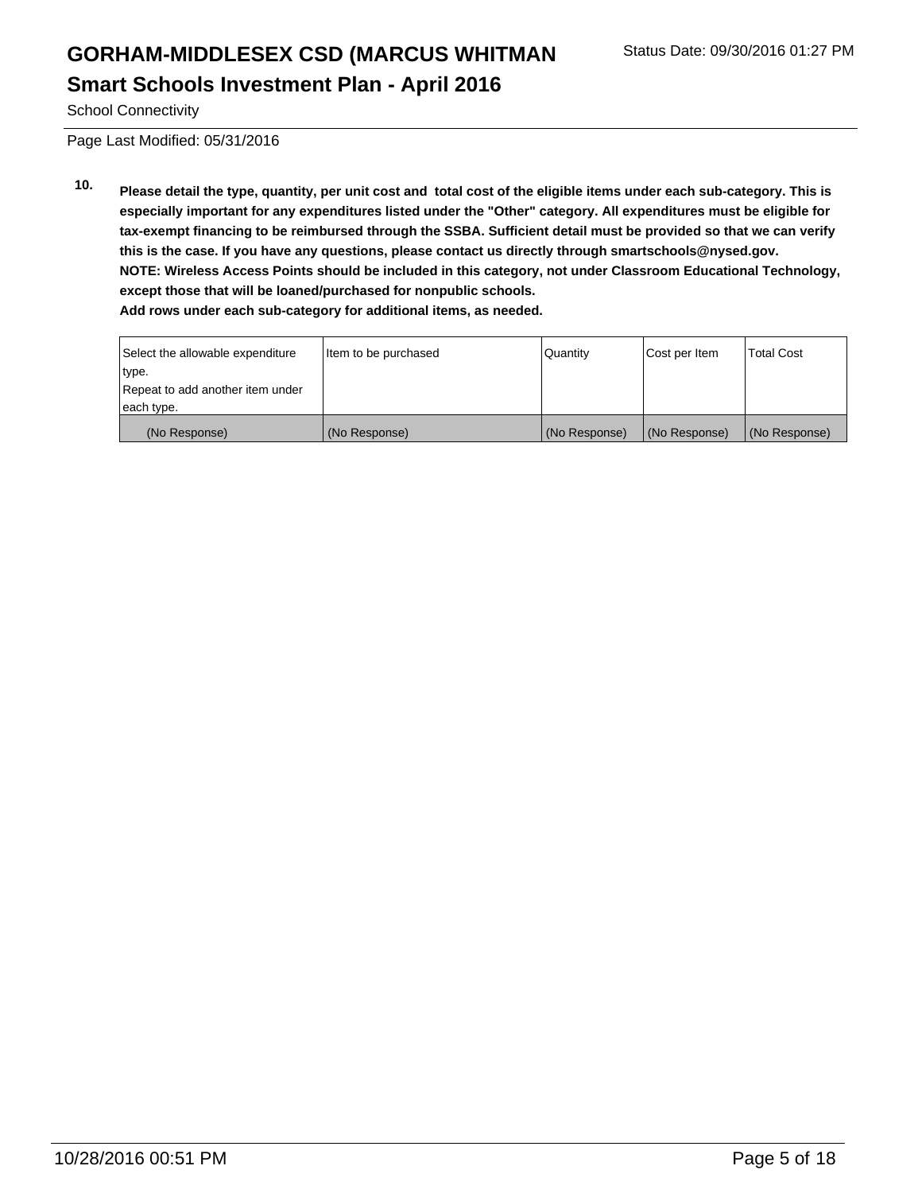School Connectivity

Page Last Modified: 05/31/2016

**10. Please detail the type, quantity, per unit cost and total cost of the eligible items under each sub-category. This is especially important for any expenditures listed under the "Other" category. All expenditures must be eligible for tax-exempt financing to be reimbursed through the SSBA. Sufficient detail must be provided so that we can verify this is the case. If you have any questions, please contact us directly through smartschools@nysed.gov. NOTE: Wireless Access Points should be included in this category, not under Classroom Educational Technology, except those that will be loaned/purchased for nonpublic schools. Add rows under each sub-category for additional items, as needed.**

(No Response) (No Response) (No Response) (No Response) (No Response)

| Select the allowable expenditure | Item to be purchased | <b>Quantity</b> | Cost per Item | <b>Total Cost</b> |
|----------------------------------|----------------------|-----------------|---------------|-------------------|
| type.                            |                      |                 |               |                   |
| Repeat to add another item under |                      |                 |               |                   |
| each type.                       |                      |                 |               |                   |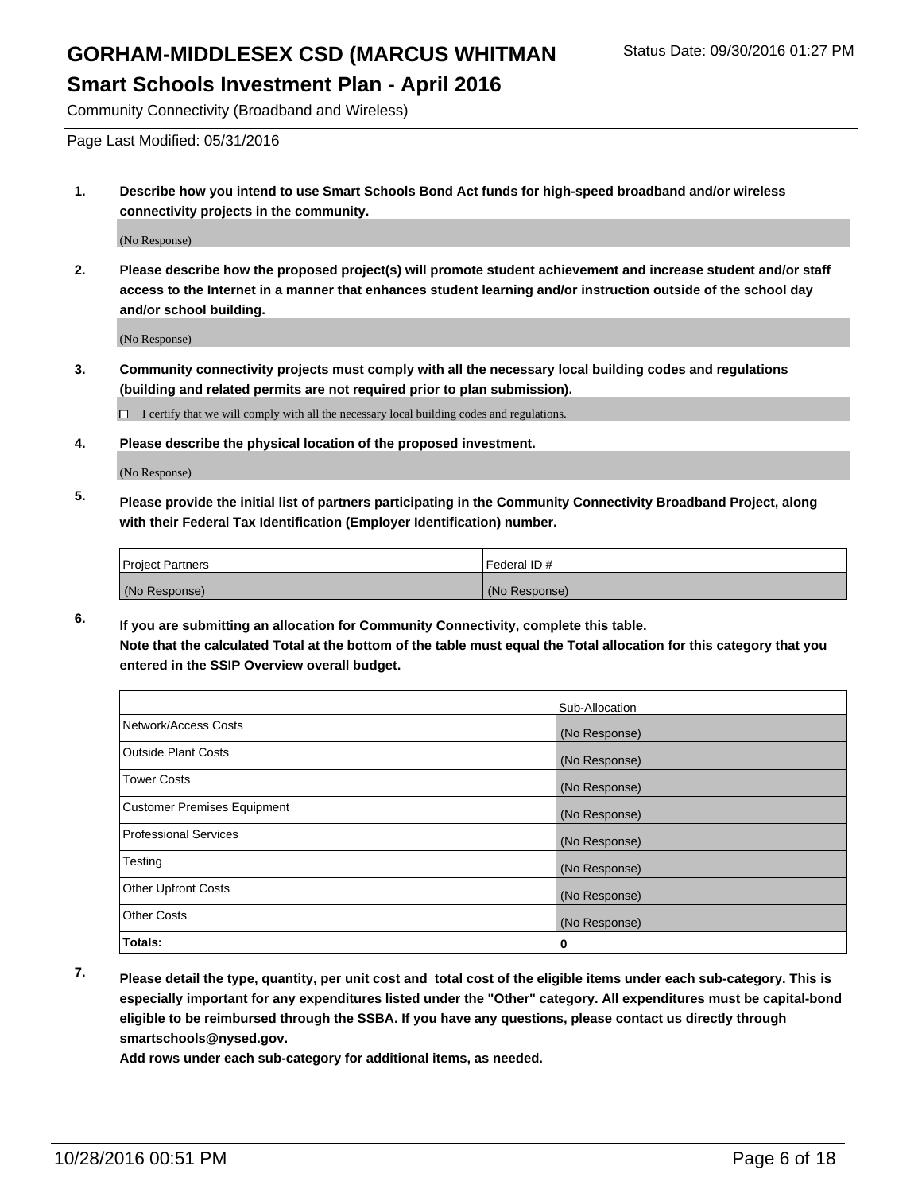# GORHAM-MIDDLESEX CSD (MARCUS WHITMAN Status Date: 09/30/2016 01:27 PM

#### **Smart Schools Investment Plan - April 2016**

Community Connectivity (Broadband and Wireless)

Page Last Modified: 05/31/2016

**1. Describe how you intend to use Smart Schools Bond Act funds for high-speed broadband and/or wireless connectivity projects in the community.**

(No Response)

**2. Please describe how the proposed project(s) will promote student achievement and increase student and/or staff access to the Internet in a manner that enhances student learning and/or instruction outside of the school day and/or school building.**

(No Response)

**3. Community connectivity projects must comply with all the necessary local building codes and regulations (building and related permits are not required prior to plan submission).**

 $\Box$  I certify that we will comply with all the necessary local building codes and regulations.

**4. Please describe the physical location of the proposed investment.**

(No Response)

**5. Please provide the initial list of partners participating in the Community Connectivity Broadband Project, along with their Federal Tax Identification (Employer Identification) number.**

| <b>Project Partners</b> | I Federal ID # |
|-------------------------|----------------|
| (No Response)           | (No Response)  |

**6. If you are submitting an allocation for Community Connectivity, complete this table. Note that the calculated Total at the bottom of the table must equal the Total allocation for this category that you entered in the SSIP Overview overall budget.**

|                                    | Sub-Allocation |
|------------------------------------|----------------|
| Network/Access Costs               | (No Response)  |
| <b>Outside Plant Costs</b>         | (No Response)  |
| <b>Tower Costs</b>                 | (No Response)  |
| <b>Customer Premises Equipment</b> | (No Response)  |
| <b>Professional Services</b>       | (No Response)  |
| Testing                            | (No Response)  |
| <b>Other Upfront Costs</b>         | (No Response)  |
| <b>Other Costs</b>                 | (No Response)  |
| Totals:                            | 0              |

**7. Please detail the type, quantity, per unit cost and total cost of the eligible items under each sub-category. This is especially important for any expenditures listed under the "Other" category. All expenditures must be capital-bond eligible to be reimbursed through the SSBA. If you have any questions, please contact us directly through smartschools@nysed.gov.**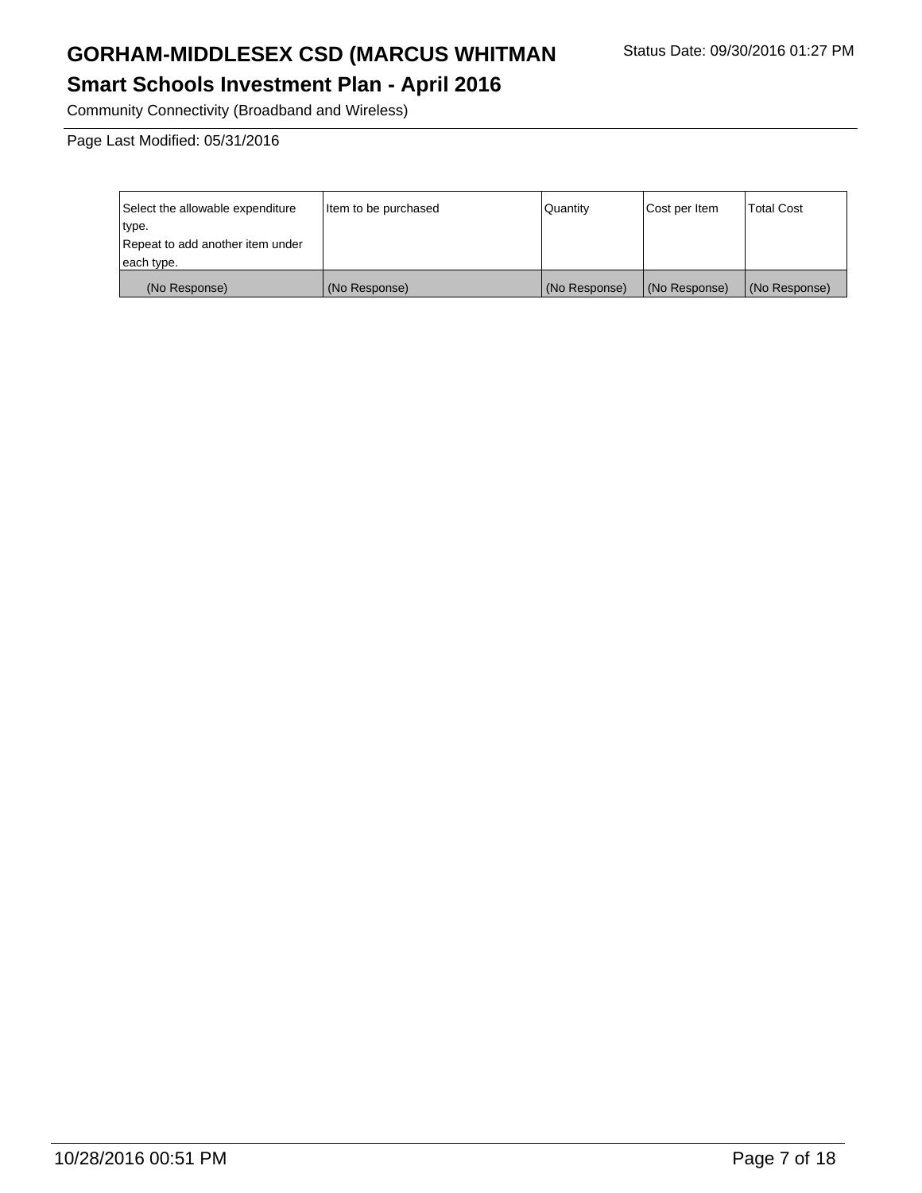# GORHAM-MIDDLESEX CSD (MARCUS WHITMAN Status Date: 09/30/2016 01:27 PM

# **Smart Schools Investment Plan - April 2016**

Community Connectivity (Broadband and Wireless)

Page Last Modified: 05/31/2016

| Select the allowable expenditure | litem to be purchased | Quantity      | Cost per Item | <b>Total Cost</b> |
|----------------------------------|-----------------------|---------------|---------------|-------------------|
| type.                            |                       |               |               |                   |
| Repeat to add another item under |                       |               |               |                   |
| each type.                       |                       |               |               |                   |
| (No Response)                    | (No Response)         | (No Response) | (No Response) | (No Response)     |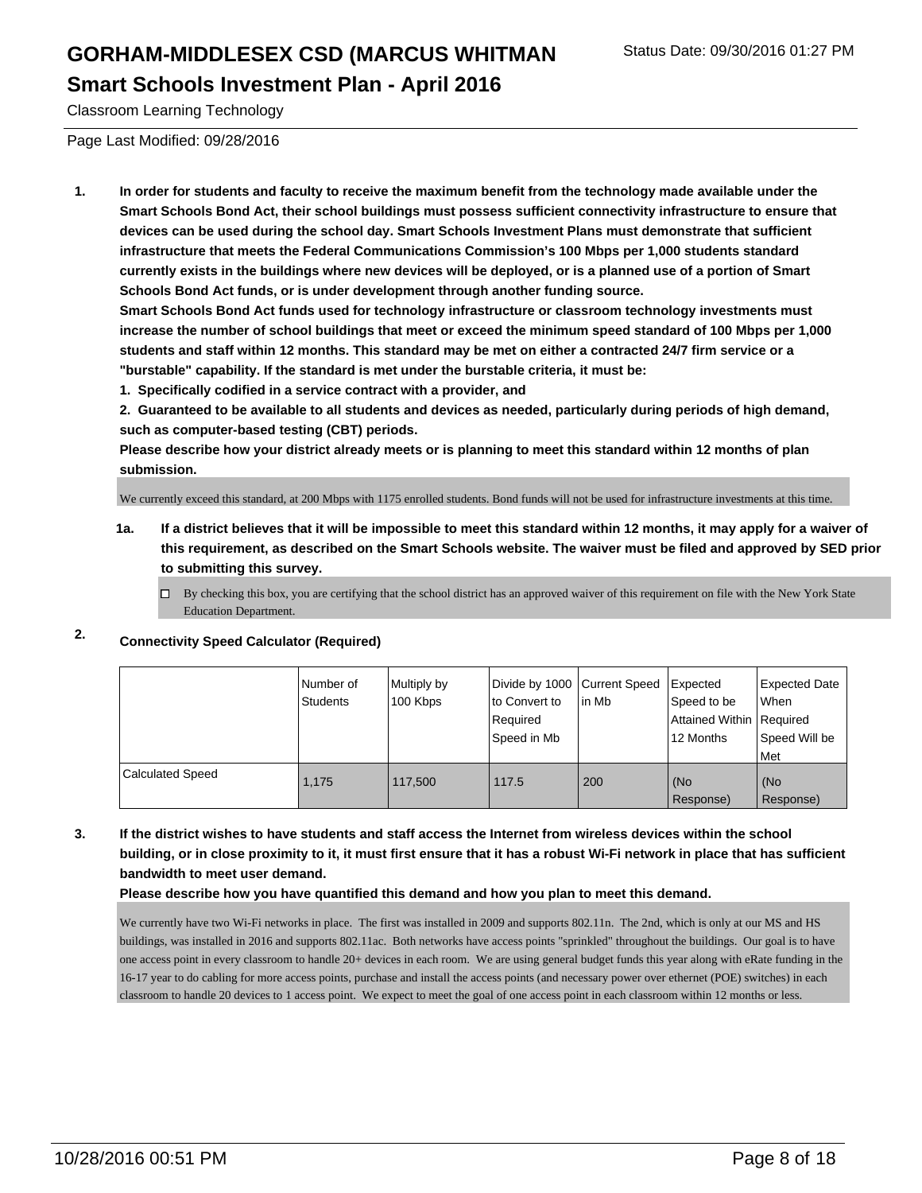Classroom Learning Technology

Page Last Modified: 09/28/2016

**1. In order for students and faculty to receive the maximum benefit from the technology made available under the Smart Schools Bond Act, their school buildings must possess sufficient connectivity infrastructure to ensure that devices can be used during the school day. Smart Schools Investment Plans must demonstrate that sufficient infrastructure that meets the Federal Communications Commission's 100 Mbps per 1,000 students standard currently exists in the buildings where new devices will be deployed, or is a planned use of a portion of Smart Schools Bond Act funds, or is under development through another funding source.**

**Smart Schools Bond Act funds used for technology infrastructure or classroom technology investments must increase the number of school buildings that meet or exceed the minimum speed standard of 100 Mbps per 1,000 students and staff within 12 months. This standard may be met on either a contracted 24/7 firm service or a "burstable" capability. If the standard is met under the burstable criteria, it must be:**

**1. Specifically codified in a service contract with a provider, and**

**2. Guaranteed to be available to all students and devices as needed, particularly during periods of high demand, such as computer-based testing (CBT) periods.**

**Please describe how your district already meets or is planning to meet this standard within 12 months of plan submission.**

We currently exceed this standard, at 200 Mbps with 1175 enrolled students. Bond funds will not be used for infrastructure investments at this time.

- **1a. If a district believes that it will be impossible to meet this standard within 12 months, it may apply for a waiver of this requirement, as described on the Smart Schools website. The waiver must be filed and approved by SED prior to submitting this survey.**
	- $\Box$  By checking this box, you are certifying that the school district has an approved waiver of this requirement on file with the New York State Education Department.
- **2. Connectivity Speed Calculator (Required)**

|                         | Number of<br>Students | Multiply by<br>100 Kbps | Divide by 1000 Current Speed<br>to Convert to<br>Required<br>Speed in Mb | lin Mb | Expected<br>Speed to be<br>Attained Within   Required<br>12 Months | <b>Expected Date</b><br><b>When</b><br>Speed Will be<br><b>Met</b> |
|-------------------------|-----------------------|-------------------------|--------------------------------------------------------------------------|--------|--------------------------------------------------------------------|--------------------------------------------------------------------|
| <b>Calculated Speed</b> | 1.175                 | 117,500                 | 117.5                                                                    | 200    | (No<br>Response)                                                   | l (No<br>Response)                                                 |

**3. If the district wishes to have students and staff access the Internet from wireless devices within the school building, or in close proximity to it, it must first ensure that it has a robust Wi-Fi network in place that has sufficient bandwidth to meet user demand.**

**Please describe how you have quantified this demand and how you plan to meet this demand.**

We currently have two Wi-Fi networks in place. The first was installed in 2009 and supports 802.11n. The 2nd, which is only at our MS and HS buildings, was installed in 2016 and supports 802.11ac. Both networks have access points "sprinkled" throughout the buildings. Our goal is to have one access point in every classroom to handle 20+ devices in each room. We are using general budget funds this year along with eRate funding in the 16-17 year to do cabling for more access points, purchase and install the access points (and necessary power over ethernet (POE) switches) in each classroom to handle 20 devices to 1 access point. We expect to meet the goal of one access point in each classroom within 12 months or less.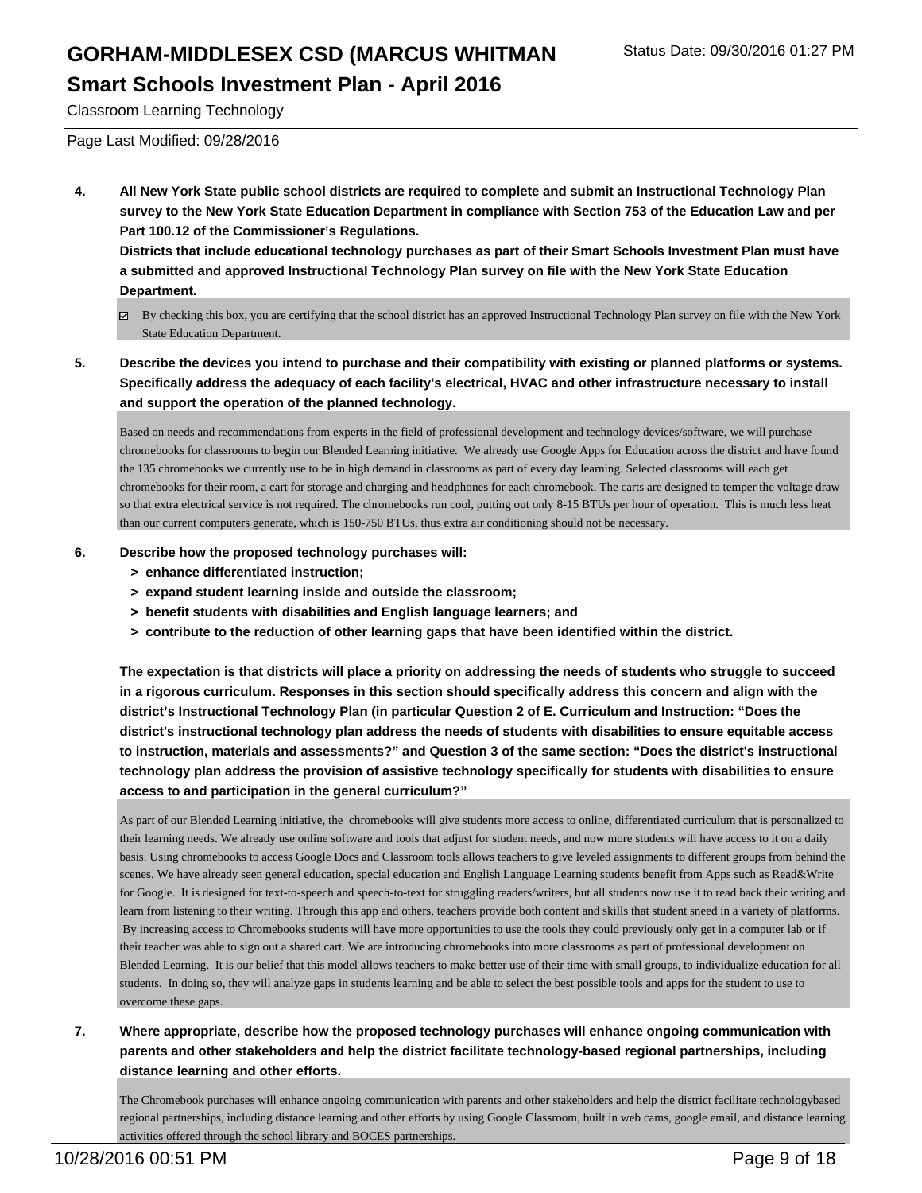Classroom Learning Technology

Page Last Modified: 09/28/2016

**4. All New York State public school districts are required to complete and submit an Instructional Technology Plan survey to the New York State Education Department in compliance with Section 753 of the Education Law and per Part 100.12 of the Commissioner's Regulations.**

**Districts that include educational technology purchases as part of their Smart Schools Investment Plan must have a submitted and approved Instructional Technology Plan survey on file with the New York State Education Department.**

- By checking this box, you are certifying that the school district has an approved Instructional Technology Plan survey on file with the New York State Education Department.
- **5. Describe the devices you intend to purchase and their compatibility with existing or planned platforms or systems. Specifically address the adequacy of each facility's electrical, HVAC and other infrastructure necessary to install and support the operation of the planned technology.**

Based on needs and recommendations from experts in the field of professional development and technology devices/software, we will purchase chromebooks for classrooms to begin our Blended Learning initiative. We already use Google Apps for Education across the district and have found the 135 chromebooks we currently use to be in high demand in classrooms as part of every day learning. Selected classrooms will each get chromebooks for their room, a cart for storage and charging and headphones for each chromebook. The carts are designed to temper the voltage draw so that extra electrical service is not required. The chromebooks run cool, putting out only 8-15 BTUs per hour of operation. This is much less heat than our current computers generate, which is 150-750 BTUs, thus extra air conditioning should not be necessary.

- **6. Describe how the proposed technology purchases will:**
	- **> enhance differentiated instruction;**
	- **> expand student learning inside and outside the classroom;**
	- **> benefit students with disabilities and English language learners; and**
	- **> contribute to the reduction of other learning gaps that have been identified within the district.**

**The expectation is that districts will place a priority on addressing the needs of students who struggle to succeed in a rigorous curriculum. Responses in this section should specifically address this concern and align with the district's Instructional Technology Plan (in particular Question 2 of E. Curriculum and Instruction: "Does the district's instructional technology plan address the needs of students with disabilities to ensure equitable access to instruction, materials and assessments?" and Question 3 of the same section: "Does the district's instructional technology plan address the provision of assistive technology specifically for students with disabilities to ensure access to and participation in the general curriculum?"**

As part of our Blended Learning initiative, the chromebooks will give students more access to online, differentiated curriculum that is personalized to their learning needs. We already use online software and tools that adjust for student needs, and now more students will have access to it on a daily basis. Using chromebooks to access Google Docs and Classroom tools allows teachers to give leveled assignments to different groups from behind the scenes. We have already seen general education, special education and English Language Learning students benefit from Apps such as Read&Write for Google. It is designed for text-to-speech and speech-to-text for struggling readers/writers, but all students now use it to read back their writing and learn from listening to their writing. Through this app and others, teachers provide both content and skills that student sneed in a variety of platforms. By increasing access to Chromebooks students will have more opportunities to use the tools they could previously only get in a computer lab or if their teacher was able to sign out a shared cart. We are introducing chromebooks into more classrooms as part of professional development on Blended Learning. It is our belief that this model allows teachers to make better use of their time with small groups, to individualize education for all students. In doing so, they will analyze gaps in students learning and be able to select the best possible tools and apps for the student to use to overcome these gaps.

**7. Where appropriate, describe how the proposed technology purchases will enhance ongoing communication with parents and other stakeholders and help the district facilitate technology-based regional partnerships, including distance learning and other efforts.**

The Chromebook purchases will enhance ongoing communication with parents and other stakeholders and help the district facilitate technology based regional partnerships, including distance learning and other efforts by using Google Classroom, built in web cams, google e mail, and distance learning activities offered through the school library and BOCES partnerships.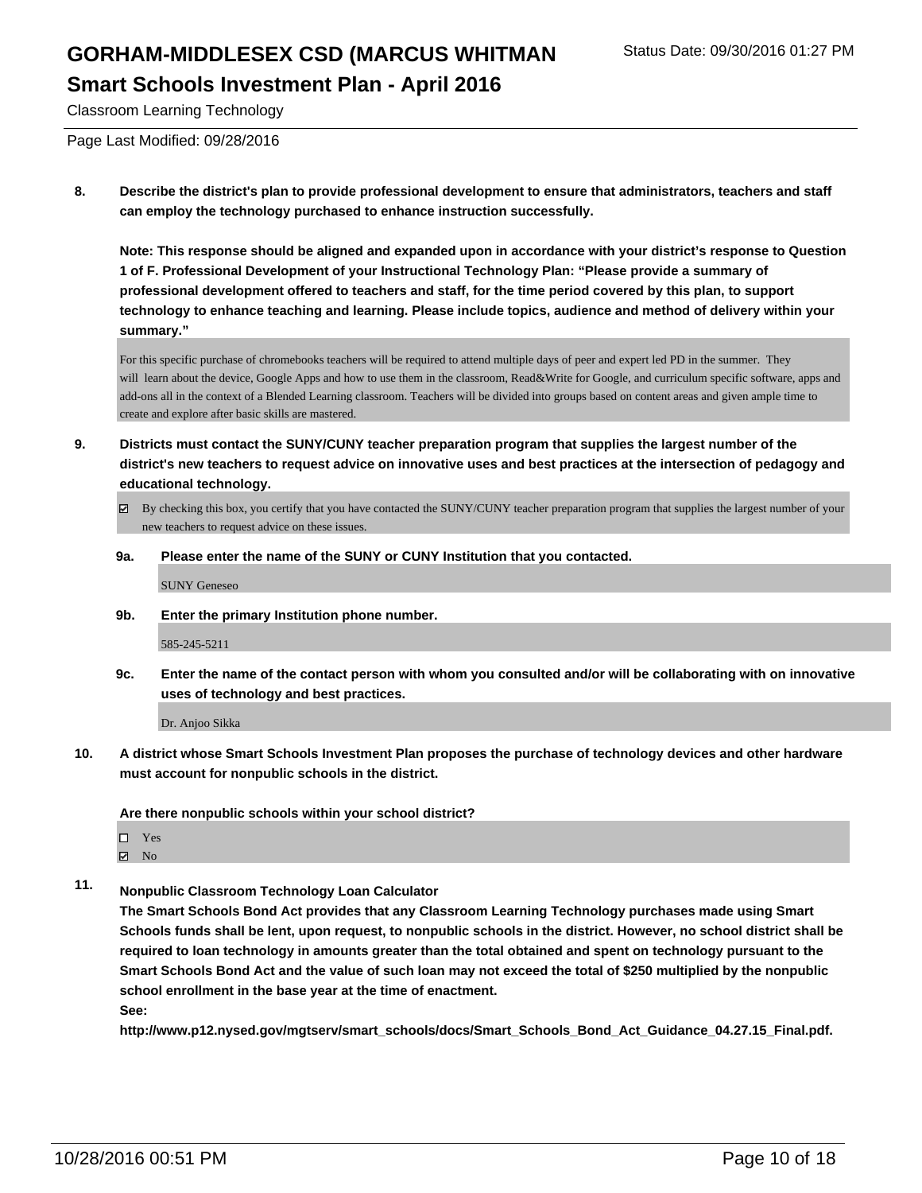Classroom Learning Technology

Page Last Modified: 09/28/2016

**8. Describe the district's plan to provide professional development to ensure that administrators, teachers and staff can employ the technology purchased to enhance instruction successfully.**

**Note: This response should be aligned and expanded upon in accordance with your district's response to Question 1 of F. Professional Development of your Instructional Technology Plan: "Please provide a summary of professional development offered to teachers and staff, for the time period covered by this plan, to support technology to enhance teaching and learning. Please include topics, audience and method of delivery within your summary."**

For this specific purchase of chromebooks teachers will be required to attend multiple days of peer and expert led PD in the summer. They will learn about the device, Google Apps and how to use them in the classroom, Read&Write for Google, and curriculum specific software, apps and add-ons all in the context of a Blended Learning classroom. Teachers will be divided into groups based on content areas and given ample time to create and explore after basic skills are mastered.

- **9. Districts must contact the SUNY/CUNY teacher preparation program that supplies the largest number of the district's new teachers to request advice on innovative uses and best practices at the intersection of pedagogy and educational technology.**
	- $\boxtimes$  By checking this box, you certify that you have contacted the SUNY/CUNY teacher preparation program that supplies the largest number of your new teachers to request advice on these issues.
	- **9a. Please enter the name of the SUNY or CUNY Institution that you contacted.**

SUNY Geneseo

**9b. Enter the primary Institution phone number.**

585-245-5211

**9c. Enter the name of the contact person with whom you consulted and/or will be collaborating with on innovative uses of technology and best practices.**

Dr. Anjoo Sikka

**10. A district whose Smart Schools Investment Plan proposes the purchase of technology devices and other hardware must account for nonpublic schools in the district.**

**Are there nonpublic schools within your school district?**

- □ Yes
- $\boxtimes$  No
- **11. Nonpublic Classroom Technology Loan Calculator**

**The Smart Schools Bond Act provides that any Classroom Learning Technology purchases made using Smart Schools funds shall be lent, upon request, to nonpublic schools in the district. However, no school district shall be required to loan technology in amounts greater than the total obtained and spent on technology pursuant to the Smart Schools Bond Act and the value of such loan may not exceed the total of \$250 multiplied by the nonpublic school enrollment in the base year at the time of enactment.**

**See:**

**http://www.p12.nysed.gov/mgtserv/smart\_schools/docs/Smart\_Schools\_Bond\_Act\_Guidance\_04.27.15\_Final.pdf.**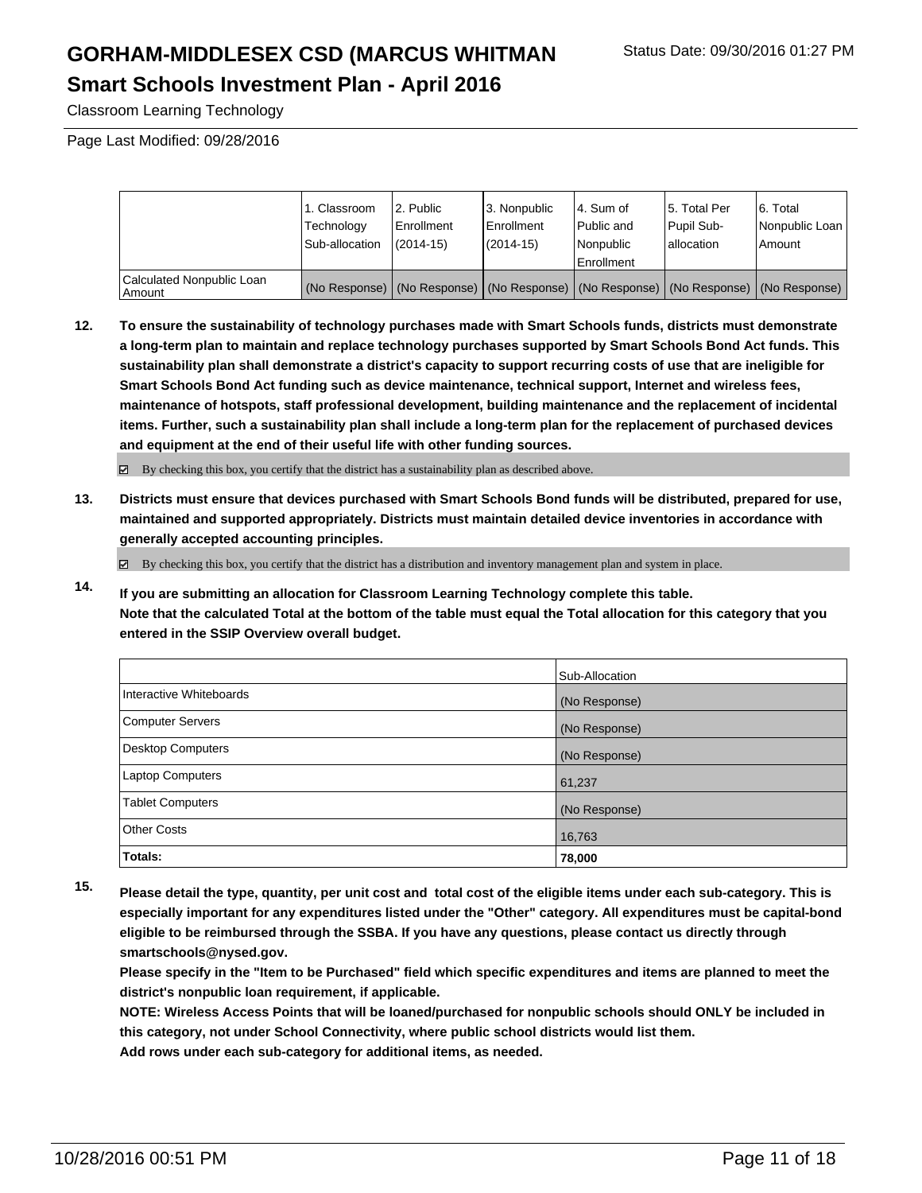## GORHAM-MIDDLESEX CSD (MARCUS WHITMAN Status Date: 09/30/2016 01:27 PM

#### **Smart Schools Investment Plan - April 2016**

Classroom Learning Technology

Page Last Modified: 09/28/2016

|                                     | 1. Classroom<br>Technology<br>Sub-allocation | 2. Public<br>Enrollment<br>$(2014 - 15)$ | 3. Nonpublic<br><b>Enrollment</b><br>$(2014 - 15)$ | l 4. Sum of<br>l Public and<br>l Nonpublic<br>Enrollment | 5. Total Per<br>Pupil Sub-<br>I allocation                                                    | 16. Total<br>Nonpublic Loan<br>Amount |
|-------------------------------------|----------------------------------------------|------------------------------------------|----------------------------------------------------|----------------------------------------------------------|-----------------------------------------------------------------------------------------------|---------------------------------------|
| Calculated Nonpublic Loan<br>Amount |                                              |                                          |                                                    |                                                          | (No Response)   (No Response)   (No Response)   (No Response)   (No Response)   (No Response) |                                       |

**12. To ensure the sustainability of technology purchases made with Smart Schools funds, districts must demonstrate a long-term plan to maintain and replace technology purchases supported by Smart Schools Bond Act funds. This sustainability plan shall demonstrate a district's capacity to support recurring costs of use that are ineligible for Smart Schools Bond Act funding such as device maintenance, technical support, Internet and wireless fees, maintenance of hotspots, staff professional development, building maintenance and the replacement of incidental items. Further, such a sustainability plan shall include a long-term plan for the replacement of purchased devices and equipment at the end of their useful life with other funding sources.**

 $\boxtimes$  By checking this box, you certify that the district has a sustainability plan as described above.

**13. Districts must ensure that devices purchased with Smart Schools Bond funds will be distributed, prepared for use, maintained and supported appropriately. Districts must maintain detailed device inventories in accordance with generally accepted accounting principles.**

By checking this box, you certify that the district has a distribution and inventory management plan and system in place.

**14. If you are submitting an allocation for Classroom Learning Technology complete this table. Note that the calculated Total at the bottom of the table must equal the Total allocation for this category that you entered in the SSIP Overview overall budget.**

|                         | Sub-Allocation |
|-------------------------|----------------|
| Interactive Whiteboards | (No Response)  |
| Computer Servers        | (No Response)  |
| Desktop Computers       | (No Response)  |
| <b>Laptop Computers</b> | 61,237         |
| <b>Tablet Computers</b> | (No Response)  |
| Other Costs             | 16,763         |
| Totals:                 | 78,000         |

**15. Please detail the type, quantity, per unit cost and total cost of the eligible items under each sub-category. This is especially important for any expenditures listed under the "Other" category. All expenditures must be capital-bond eligible to be reimbursed through the SSBA. If you have any questions, please contact us directly through smartschools@nysed.gov.**

**Please specify in the "Item to be Purchased" field which specific expenditures and items are planned to meet the district's nonpublic loan requirement, if applicable.**

**NOTE: Wireless Access Points that will be loaned/purchased for nonpublic schools should ONLY be included in this category, not under School Connectivity, where public school districts would list them. Add rows under each sub-category for additional items, as needed.**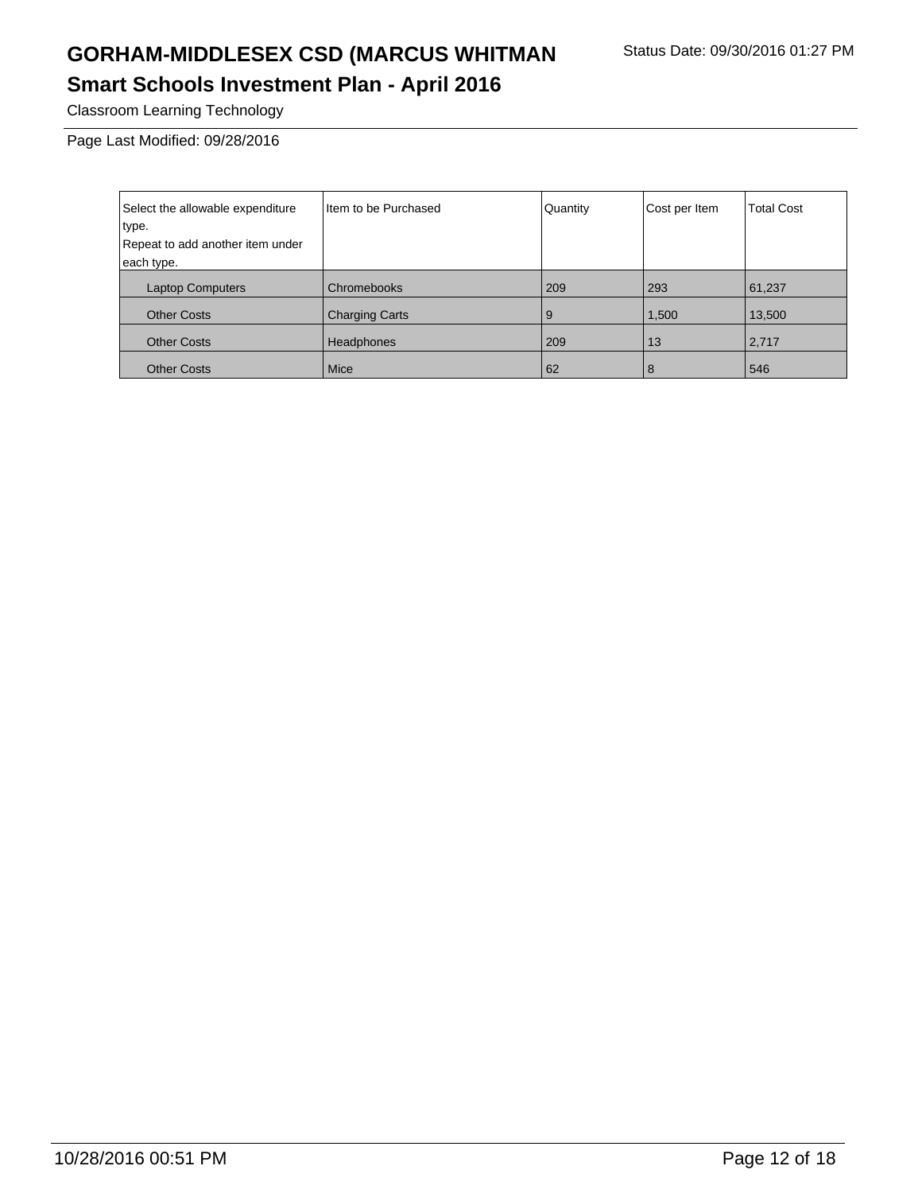Classroom Learning Technology

Page Last Modified: 09/28/2016

| Select the allowable expenditure | Item to be Purchased  | Quantity | Cost per Item | <b>Total Cost</b> |
|----------------------------------|-----------------------|----------|---------------|-------------------|
| type.                            |                       |          |               |                   |
| Repeat to add another item under |                       |          |               |                   |
| each type.                       |                       |          |               |                   |
| <b>Laptop Computers</b>          | Chromebooks           | 209      | 293           | 61,237            |
| <b>Other Costs</b>               | <b>Charging Carts</b> | 9        | 1,500         | 13,500            |
| <b>Other Costs</b>               | <b>Headphones</b>     | 209      | 13            | 2,717             |
| <b>Other Costs</b>               | <b>Mice</b>           | 62       | 8             | 546               |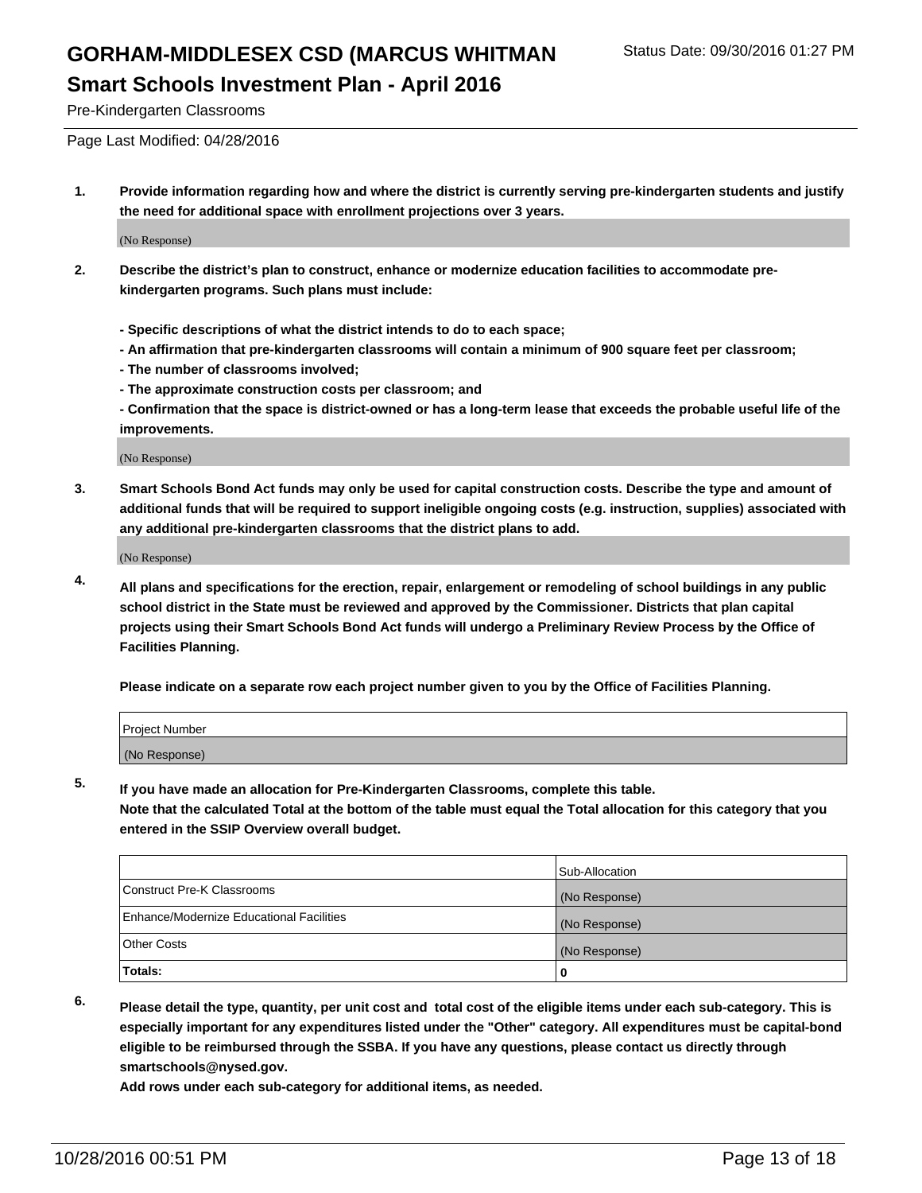Pre-Kindergarten Classrooms

Page Last Modified: 04/28/2016

**1. Provide information regarding how and where the district is currently serving pre-kindergarten students and justify the need for additional space with enrollment projections over 3 years.**

(No Response)

- **2. Describe the district's plan to construct, enhance or modernize education facilities to accommodate prekindergarten programs. Such plans must include:**
	- **Specific descriptions of what the district intends to do to each space;**
	- **An affirmation that pre-kindergarten classrooms will contain a minimum of 900 square feet per classroom;**
	- **The number of classrooms involved;**
	- **The approximate construction costs per classroom; and**
	- **Confirmation that the space is district-owned or has a long-term lease that exceeds the probable useful life of the improvements.**

(No Response)

**3. Smart Schools Bond Act funds may only be used for capital construction costs. Describe the type and amount of additional funds that will be required to support ineligible ongoing costs (e.g. instruction, supplies) associated with any additional pre-kindergarten classrooms that the district plans to add.**

(No Response)

**4. All plans and specifications for the erection, repair, enlargement or remodeling of school buildings in any public school district in the State must be reviewed and approved by the Commissioner. Districts that plan capital projects using their Smart Schools Bond Act funds will undergo a Preliminary Review Process by the Office of Facilities Planning.**

**Please indicate on a separate row each project number given to you by the Office of Facilities Planning.**

| Project Number |  |
|----------------|--|
| (No Response)  |  |

**5. If you have made an allocation for Pre-Kindergarten Classrooms, complete this table.**

**Note that the calculated Total at the bottom of the table must equal the Total allocation for this category that you entered in the SSIP Overview overall budget.**

|                                          | Sub-Allocation |
|------------------------------------------|----------------|
| Construct Pre-K Classrooms               | (No Response)  |
| Enhance/Modernize Educational Facilities | (No Response)  |
| Other Costs                              | (No Response)  |
| Totals:                                  |                |

**6. Please detail the type, quantity, per unit cost and total cost of the eligible items under each sub-category. This is especially important for any expenditures listed under the "Other" category. All expenditures must be capital-bond eligible to be reimbursed through the SSBA. If you have any questions, please contact us directly through smartschools@nysed.gov.**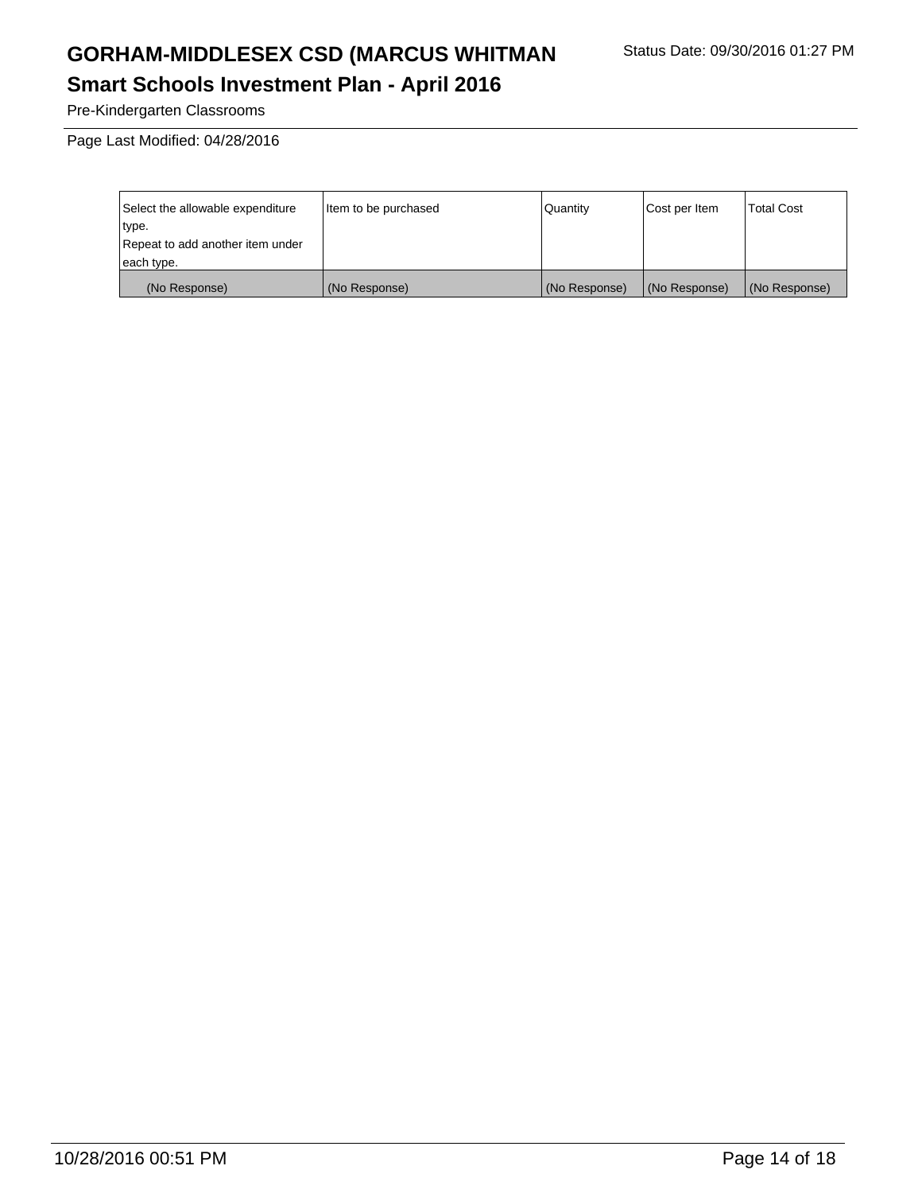Pre-Kindergarten Classrooms

Page Last Modified: 04/28/2016

| Select the allowable expenditure | Item to be purchased | Quantity      | Cost per Item | Total Cost    |
|----------------------------------|----------------------|---------------|---------------|---------------|
| type.                            |                      |               |               |               |
| Repeat to add another item under |                      |               |               |               |
| each type.                       |                      |               |               |               |
| (No Response)                    | (No Response)        | (No Response) | (No Response) | (No Response) |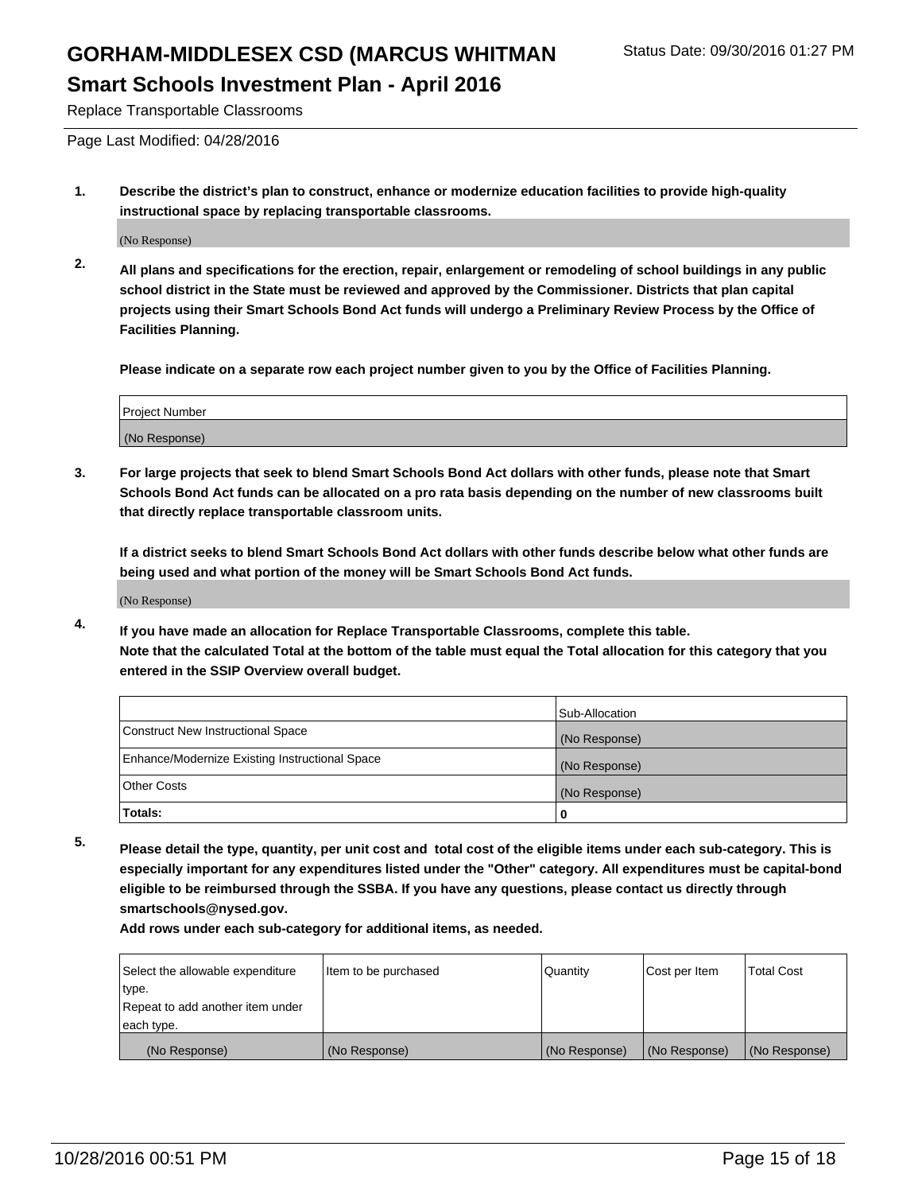Replace Transportable Classrooms

Page Last Modified: 04/28/2016

**1. Describe the district's plan to construct, enhance or modernize education facilities to provide high-quality instructional space by replacing transportable classrooms.**

(No Response)

**2. All plans and specifications for the erection, repair, enlargement or remodeling of school buildings in any public school district in the State must be reviewed and approved by the Commissioner. Districts that plan capital projects using their Smart Schools Bond Act funds will undergo a Preliminary Review Process by the Office of Facilities Planning.**

**Please indicate on a separate row each project number given to you by the Office of Facilities Planning.**

| Project Number |  |
|----------------|--|
| (No Response)  |  |

**3. For large projects that seek to blend Smart Schools Bond Act dollars with other funds, please note that Smart Schools Bond Act funds can be allocated on a pro rata basis depending on the number of new classrooms built that directly replace transportable classroom units.**

**If a district seeks to blend Smart Schools Bond Act dollars with other funds describe below what other funds are being used and what portion of the money will be Smart Schools Bond Act funds.**

(No Response)

**4. If you have made an allocation for Replace Transportable Classrooms, complete this table. Note that the calculated Total at the bottom of the table must equal the Total allocation for this category that you entered in the SSIP Overview overall budget.**

|                                                | Sub-Allocation |
|------------------------------------------------|----------------|
| Construct New Instructional Space              | (No Response)  |
| Enhance/Modernize Existing Instructional Space | (No Response)  |
| Other Costs                                    | (No Response)  |
| Totals:                                        | 0              |

**5. Please detail the type, quantity, per unit cost and total cost of the eligible items under each sub-category. This is especially important for any expenditures listed under the "Other" category. All expenditures must be capital-bond eligible to be reimbursed through the SSBA. If you have any questions, please contact us directly through smartschools@nysed.gov.**

| Select the allowable expenditure | Item to be purchased | Quantity      | Cost per Item | Total Cost    |
|----------------------------------|----------------------|---------------|---------------|---------------|
| type.                            |                      |               |               |               |
| Repeat to add another item under |                      |               |               |               |
| each type.                       |                      |               |               |               |
| (No Response)                    | (No Response)        | (No Response) | (No Response) | (No Response) |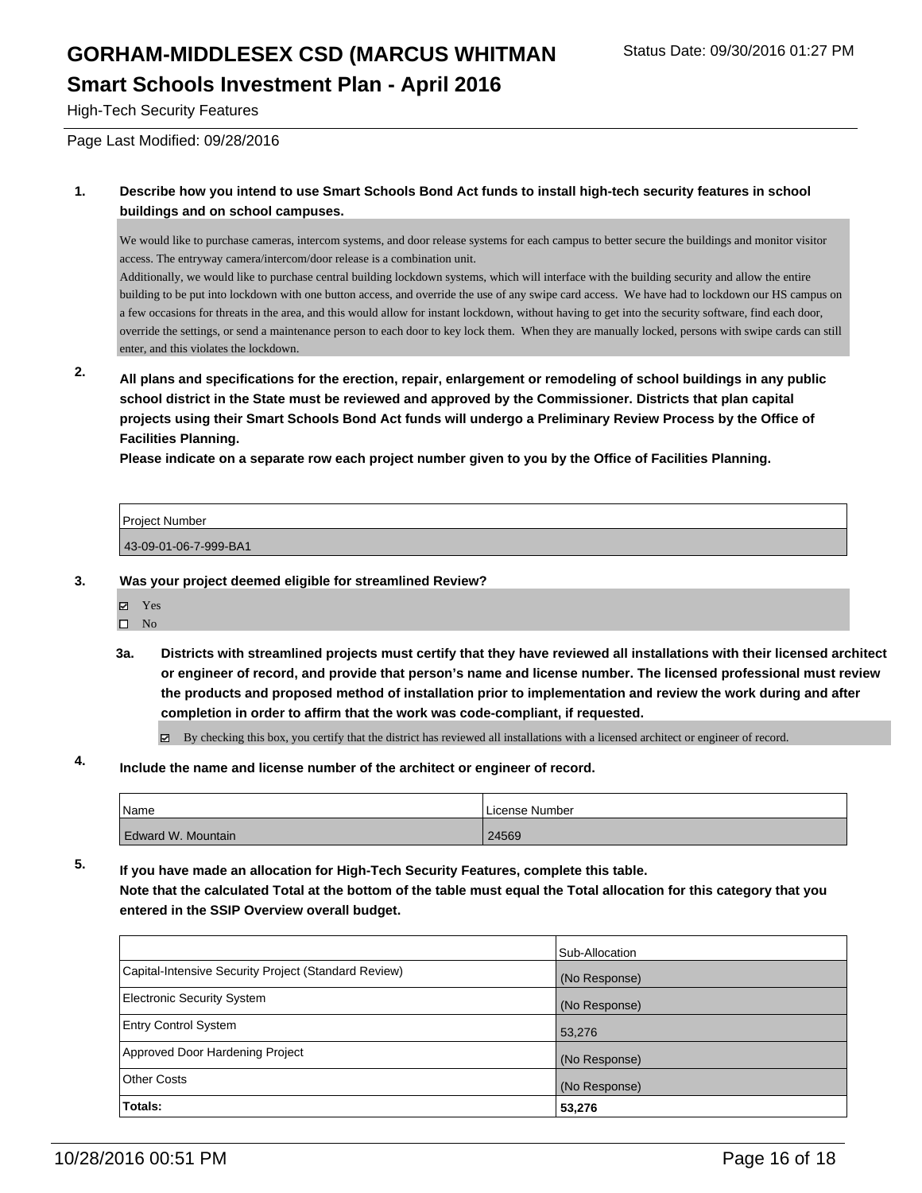#### **Smart Schools Investment Plan - April 2016**

High-Tech Security Features

Page Last Modified: 09/28/2016

#### **1. Describe how you intend to use Smart Schools Bond Act funds to install high-tech security features in school buildings and on school campuses.**

We would like to purchase cameras, intercom systems, and door release systems for each campus to better secure the buildings and monitor visitor access. The entryway camera/intercom/door release is a combination unit.

Additionally, we would like to purchase central building lockdown systems, which will interface with the building security and allow the entire building to be put into lockdown with one button access, and override the use of any swipe card access. We have had to lockdown our HS campus on a few occasions for threats in the area, and this would allow for instant lockdown, without having to get into the security software, find each door, override the settings, or send a maintenance person to each door to key lock them. When they are manually locked, persons with swipe cards can still enter, and this violates the lockdown.

**2. All plans and specifications for the erection, repair, enlargement or remodeling of school buildings in any public school district in the State must be reviewed and approved by the Commissioner. Districts that plan capital projects using their Smart Schools Bond Act funds will undergo a Preliminary Review Process by the Office of Facilities Planning.** 

**Please indicate on a separate row each project number given to you by the Office of Facilities Planning.**

| <b>Project Number</b> |  |
|-----------------------|--|
| 43-09-01-06-7-999-BA1 |  |

#### **3. Was your project deemed eligible for streamlined Review?**

- Yes
- $\hfill \square$  No
- **3a. Districts with streamlined projects must certify that they have reviewed all installations with their licensed architect or engineer of record, and provide that person's name and license number. The licensed professional must review the products and proposed method of installation prior to implementation and review the work during and after completion in order to affirm that the work was code-compliant, if requested.**

By checking this box, you certify that the district has reviewed all installations with a licensed architect or engineer of record.

#### **4. Include the name and license number of the architect or engineer of record.**

| Name               | License Number |
|--------------------|----------------|
| Edward W. Mountain | 24569          |

**5. If you have made an allocation for High-Tech Security Features, complete this table.**

**Note that the calculated Total at the bottom of the table must equal the Total allocation for this category that you entered in the SSIP Overview overall budget.**

|                                                      | Sub-Allocation |
|------------------------------------------------------|----------------|
| Capital-Intensive Security Project (Standard Review) | (No Response)  |
| <b>Electronic Security System</b>                    | (No Response)  |
| <b>Entry Control System</b>                          | 53,276         |
| Approved Door Hardening Project                      | (No Response)  |
| Other Costs                                          | (No Response)  |
| Totals:                                              | 53,276         |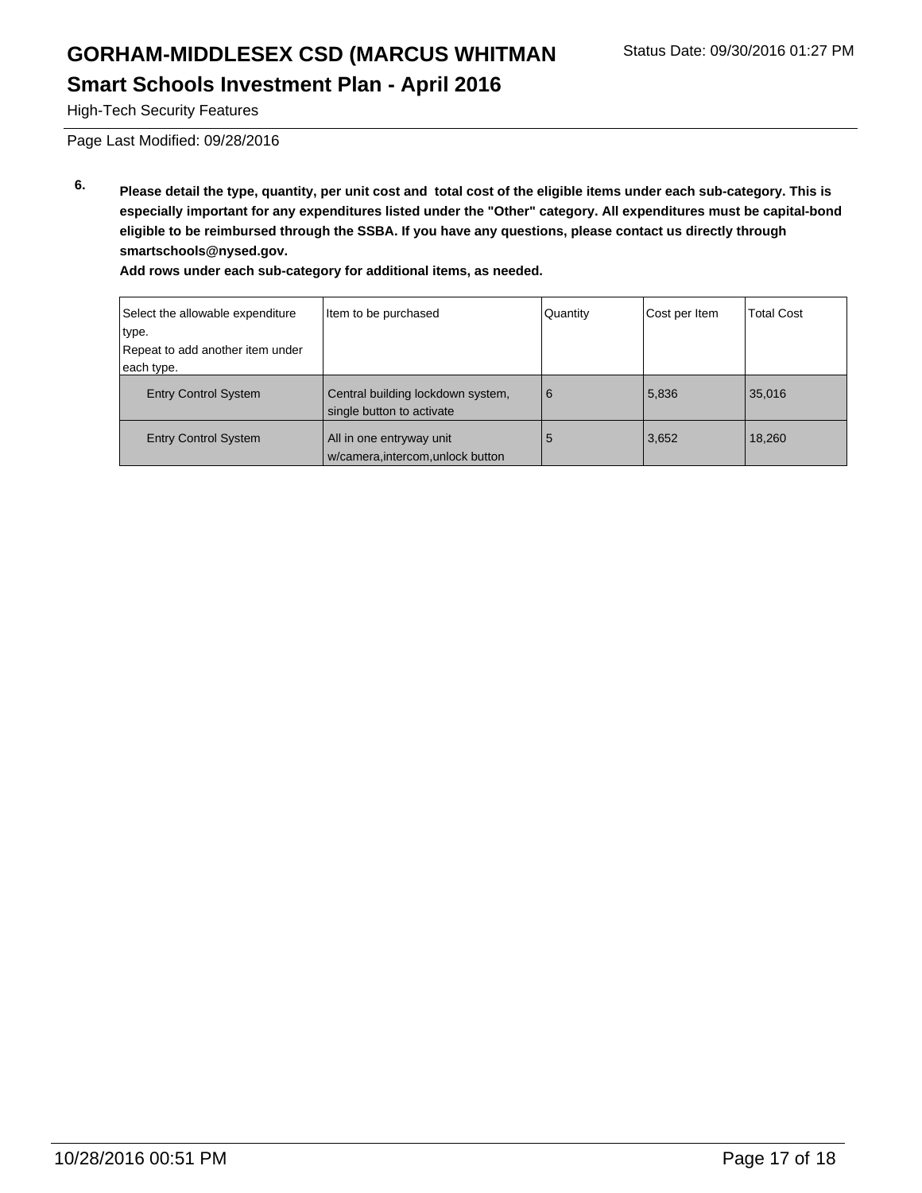High-Tech Security Features

Page Last Modified: 09/28/2016

**6. Please detail the type, quantity, per unit cost and total cost of the eligible items under each sub-category. This is especially important for any expenditures listed under the "Other" category. All expenditures must be capital-bond eligible to be reimbursed through the SSBA. If you have any questions, please contact us directly through smartschools@nysed.gov.**

| Select the allowable expenditure | Item to be purchased                                           | Quantity | Cost per Item | <b>Total Cost</b> |
|----------------------------------|----------------------------------------------------------------|----------|---------------|-------------------|
| type.                            |                                                                |          |               |                   |
| Repeat to add another item under |                                                                |          |               |                   |
| each type.                       |                                                                |          |               |                   |
| <b>Entry Control System</b>      | Central building lockdown system,<br>single button to activate | 6        | 5,836         | 35,016            |
| <b>Entry Control System</b>      | All in one entryway unit<br>w/camera.intercom.unlock button    | 5        | 3,652         | 18,260            |